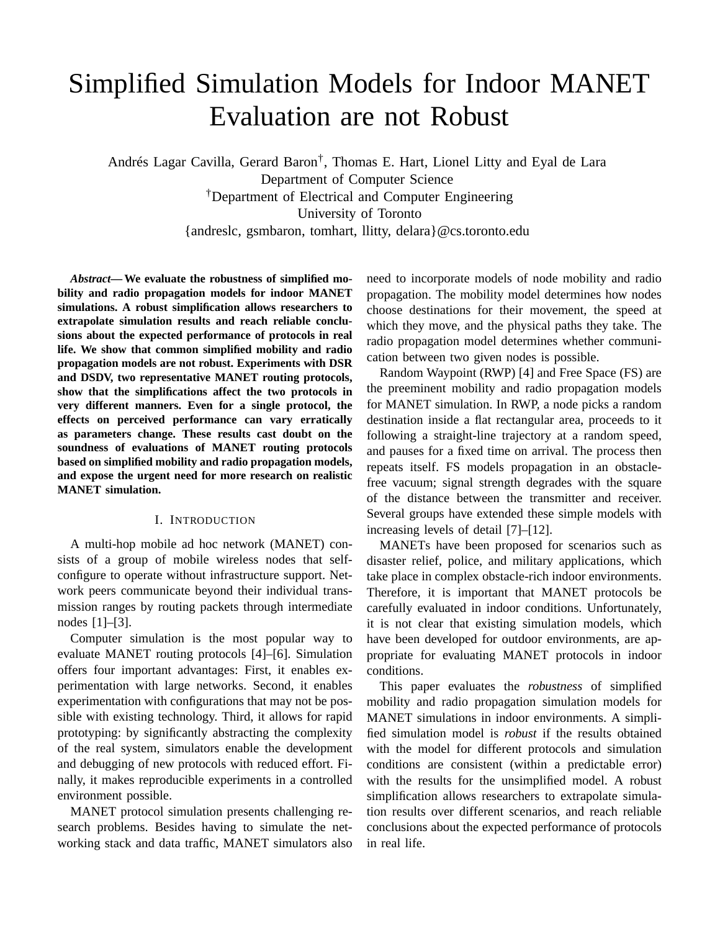# Simplified Simulation Models for Indoor MANET Evaluation are not Robust

Andrés Lagar Cavilla, Gerard Baron† , Thomas E. Hart, Lionel Litty and Eyal de Lara Department of Computer Science †Department of Electrical and Computer Engineering University of Toronto {andreslc, gsmbaron, tomhart, llitty, delara}@cs.toronto.edu

*Abstract***— We evaluate the robustness of simplified mobility and radio propagation models for indoor MANET simulations. A robust simplification allows researchers to extrapolate simulation results and reach reliable conclusions about the expected performance of protocols in real life. We show that common simplified mobility and radio propagation models are not robust. Experiments with DSR and DSDV, two representative MANET routing protocols, show that the simplifications affect the two protocols in very different manners. Even for a single protocol, the effects on perceived performance can vary erratically as parameters change. These results cast doubt on the soundness of evaluations of MANET routing protocols based on simplified mobility and radio propagation models, and expose the urgent need for more research on realistic MANET simulation.**

# I. INTRODUCTION

A multi-hop mobile ad hoc network (MANET) consists of a group of mobile wireless nodes that selfconfigure to operate without infrastructure support. Network peers communicate beyond their individual transmission ranges by routing packets through intermediate nodes [1]–[3].

Computer simulation is the most popular way to evaluate MANET routing protocols [4]–[6]. Simulation offers four important advantages: First, it enables experimentation with large networks. Second, it enables experimentation with configurations that may not be possible with existing technology. Third, it allows for rapid prototyping: by significantly abstracting the complexity of the real system, simulators enable the development and debugging of new protocols with reduced effort. Finally, it makes reproducible experiments in a controlled environment possible.

MANET protocol simulation presents challenging research problems. Besides having to simulate the networking stack and data traffic, MANET simulators also need to incorporate models of node mobility and radio propagation. The mobility model determines how nodes choose destinations for their movement, the speed at which they move, and the physical paths they take. The radio propagation model determines whether communication between two given nodes is possible.

Random Waypoint (RWP) [4] and Free Space (FS) are the preeminent mobility and radio propagation models for MANET simulation. In RWP, a node picks a random destination inside a flat rectangular area, proceeds to it following a straight-line trajectory at a random speed, and pauses for a fixed time on arrival. The process then repeats itself. FS models propagation in an obstaclefree vacuum; signal strength degrades with the square of the distance between the transmitter and receiver. Several groups have extended these simple models with increasing levels of detail [7]–[12].

MANETs have been proposed for scenarios such as disaster relief, police, and military applications, which take place in complex obstacle-rich indoor environments. Therefore, it is important that MANET protocols be carefully evaluated in indoor conditions. Unfortunately, it is not clear that existing simulation models, which have been developed for outdoor environments, are appropriate for evaluating MANET protocols in indoor conditions.

This paper evaluates the *robustness* of simplified mobility and radio propagation simulation models for MANET simulations in indoor environments. A simplified simulation model is *robust* if the results obtained with the model for different protocols and simulation conditions are consistent (within a predictable error) with the results for the unsimplified model. A robust simplification allows researchers to extrapolate simulation results over different scenarios, and reach reliable conclusions about the expected performance of protocols in real life.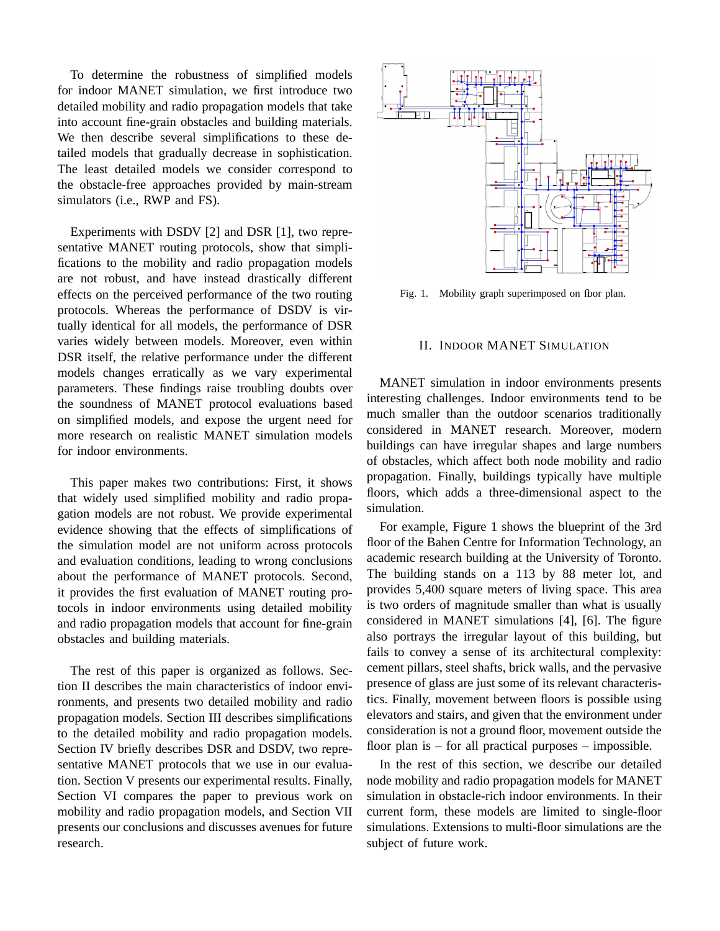To determine the robustness of simplified models for indoor MANET simulation, we first introduce two detailed mobility and radio propagation models that take into account fine-grain obstacles and building materials. We then describe several simplifications to these detailed models that gradually decrease in sophistication. The least detailed models we consider Stragsrepulacements the obstacle-free approaches provided by mains weam FS' simulators (i.e., RWP and FS).

RWP<sup>S</sup> - FS'  $RWP<sub>L</sub> - FS'$ 

Experiments with DSDV [2] and DSR [1], two repre-  $FS'$ sentative MANET routing protocols, show that  $\mathbb{R}$   $\mathbb{R}$ <sup>11</sup> FS' fications to the mobility and radio propagation  $\mathbb{R}^{\mathbb{N}}$   $\mathbb{R}^{\mathbb{N}}$  FS' are not robust, and have instead drastically different effects on the perceived performance of the two routing protocols. Whereas the performance of DSDV is virtually identical for all models, the performance of DSR varies widely between models. Moreover, even within DSR itself, the relative performance under the different models changes erratically as we vary experimental parameters. These findings raise troubling doubts over the soundness of MANET protocol evaluations based on simplified models, and expose the urgent need for more research on realistic MANET simulation models for indoor environments.

This paper makes two contributions: First, it shows that widely used simplified mobility and radio propagation models are not robust. We provide experimental evidence showing that the effects of simplifications of the simulation model are not uniform across protocols and evaluation conditions, leading to wrong conclusions about the performance of MANET protocols. Second, it provides the first evaluation of MANET routing protocols in indoor environments using detailed mobility and radio propagation models that account for fine-grain obstacles and building materials.

The rest of this paper is organized as follows. Section II describes the main characteristics of indoor environments, and presents two detailed mobility and radio propagation models. Section III describes simplifications to the detailed mobility and radio propagation models. Section IV briefly describes DSR and DSDV, two representative MANET protocols that we use in our evaluation. Section V presents our experimental results. Finally, Section VI compares the paper to previous work on mobility and radio propagation models, and Section VII presents our conclusions and discusses avenues for future research.



Fig. 1. Mobility graph superimposed on fbor plan.

## II. INDOOR MANET SIMULATION

MANET simulation in indoor environments presents interesting challenges. Indoor environments tend to be much smaller than the outdoor scenarios traditionally considered in MANET research. Moreover, modern buildings can have irregular shapes and large numbers of obstacles, which affect both node mobility and radio propagation. Finally, buildings typically have multiple floors, which adds a three-dimensional aspect to the simulation.

For example, Figure 1 shows the blueprint of the 3rd floor of the Bahen Centre for Information Technology, an academic research building at the University of Toronto. The building stands on a 113 by 88 meter lot, and provides 5,400 square meters of living space. This area is two orders of magnitude smaller than what is usually considered in MANET simulations [4], [6]. The figure also portrays the irregular layout of this building, but fails to convey a sense of its architectural complexity: cement pillars, steel shafts, brick walls, and the pervasive presence of glass are just some of its relevant characteristics. Finally, movement between floors is possible using elevators and stairs, and given that the environment under consideration is not a ground floor, movement outside the floor plan is – for all practical purposes – impossible.

In the rest of this section, we describe our detailed node mobility and radio propagation models for MANET simulation in obstacle-rich indoor environments. In their current form, these models are limited to single-floor simulations. Extensions to multi-floor simulations are the subject of future work.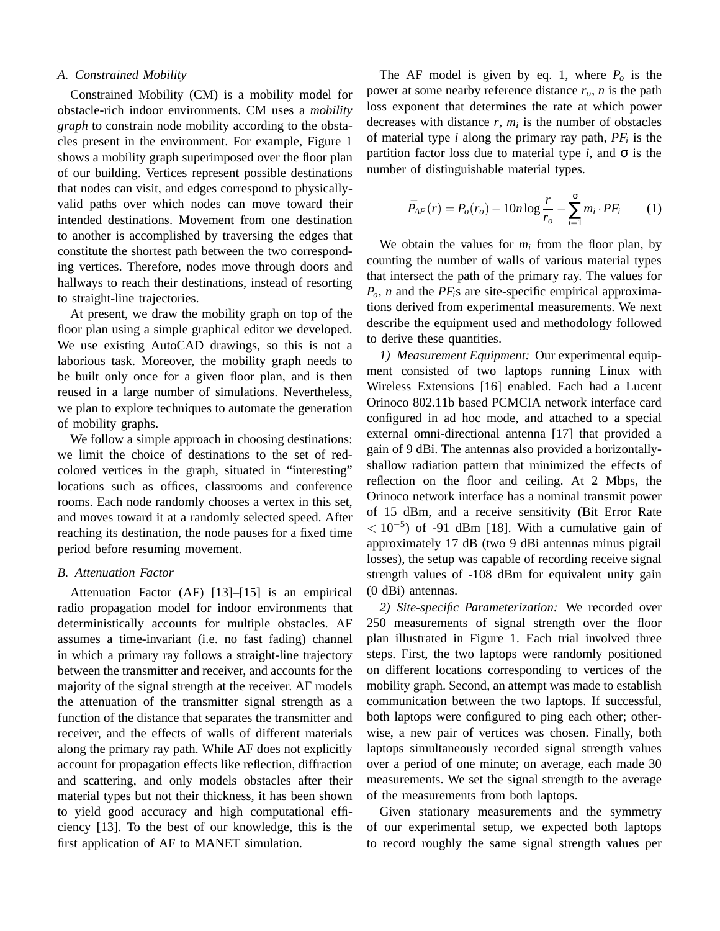## *A. Constrained Mobility*

Constrained Mobility (CM) is a mobility model for obstacle-rich indoor environments. CM uses a *mobility graph* to constrain node mobility according to the obstacles present in the environment. For example, Figure 1 shows a mobility graph superimposed over the floor plan of our building. Vertices represent possible destinations that nodes can visit, and edges correspond to physicallyvalid paths over which nodes can move toward their intended destinations. Movement from one destination to another is accomplished by traversing the edges that constitute the shortest path between the two corresponding vertices. Therefore, nodes move through doors and hallways to reach their destinations, instead of resorting to straight-line trajectories.

At present, we draw the mobility graph on top of the floor plan using a simple graphical editor we developed. We use existing AutoCAD drawings, so this is not a laborious task. Moreover, the mobility graph needs to be built only once for a given floor plan, and is then reused in a large number of simulations. Nevertheless, we plan to explore techniques to automate the generation of mobility graphs.

We follow a simple approach in choosing destinations: we limit the choice of destinations to the set of redcolored vertices in the graph, situated in "interesting" locations such as offices, classrooms and conference rooms. Each node randomly chooses a vertex in this set, and moves toward it at a randomly selected speed. After reaching its destination, the node pauses for a fixed time period before resuming movement.

#### *B. Attenuation Factor*

Attenuation Factor (AF) [13]–[15] is an empirical radio propagation model for indoor environments that deterministically accounts for multiple obstacles. AF assumes a time-invariant (i.e. no fast fading) channel in which a primary ray follows a straight-line trajectory between the transmitter and receiver, and accounts for the majority of the signal strength at the receiver. AF models the attenuation of the transmitter signal strength as a function of the distance that separates the transmitter and receiver, and the effects of walls of different materials along the primary ray path. While AF does not explicitly account for propagation effects like reflection, diffraction and scattering, and only models obstacles after their material types but not their thickness, it has been shown to yield good accuracy and high computational efficiency [13]. To the best of our knowledge, this is the first application of AF to MANET simulation.

The AF model is given by eq. 1, where  $P<sub>o</sub>$  is the power at some nearby reference distance *ro*, *n* is the path loss exponent that determines the rate at which power decreases with distance  $r$ ,  $m_i$  is the number of obstacles of material type *i* along the primary ray path, *PF<sup>i</sup>* is the partition factor loss due to material type *i*, and  $\sigma$  is the number of distinguishable material types.

$$
\bar{P}_{AF}(r) = P_o(r_o) - 10n \log \frac{r}{r_o} - \sum_{i=1}^{6} m_i \cdot PF_i \tag{1}
$$

We obtain the values for  $m_i$  from the floor plan, by counting the number of walls of various material types that intersect the path of the primary ray. The values for  $P$ <sup> $o$ </sup>, *n* and the *PF*<sup>*i*s</sup> are site-specific empirical approximations derived from experimental measurements. We next describe the equipment used and methodology followed to derive these quantities.

*1) Measurement Equipment:* Our experimental equipment consisted of two laptops running Linux with Wireless Extensions [16] enabled. Each had a Lucent Orinoco 802.11b based PCMCIA network interface card configured in ad hoc mode, and attached to a special external omni-directional antenna [17] that provided a gain of 9 dBi. The antennas also provided a horizontallyshallow radiation pattern that minimized the effects of reflection on the floor and ceiling. At 2 Mbps, the Orinoco network interface has a nominal transmit power of 15 dBm, and a receive sensitivity (Bit Error Rate  $< 10^{-5}$ ) of -91 dBm [18]. With a cumulative gain of approximately 17 dB (two 9 dBi antennas minus pigtail losses), the setup was capable of recording receive signal strength values of -108 dBm for equivalent unity gain (0 dBi) antennas.

*2) Site-specific Parameterization:* We recorded over 250 measurements of signal strength over the floor plan illustrated in Figure 1. Each trial involved three steps. First, the two laptops were randomly positioned on different locations corresponding to vertices of the mobility graph. Second, an attempt was made to establish communication between the two laptops. If successful, both laptops were configured to ping each other; otherwise, a new pair of vertices was chosen. Finally, both laptops simultaneously recorded signal strength values over a period of one minute; on average, each made 30 measurements. We set the signal strength to the average of the measurements from both laptops.

Given stationary measurements and the symmetry of our experimental setup, we expected both laptops to record roughly the same signal strength values per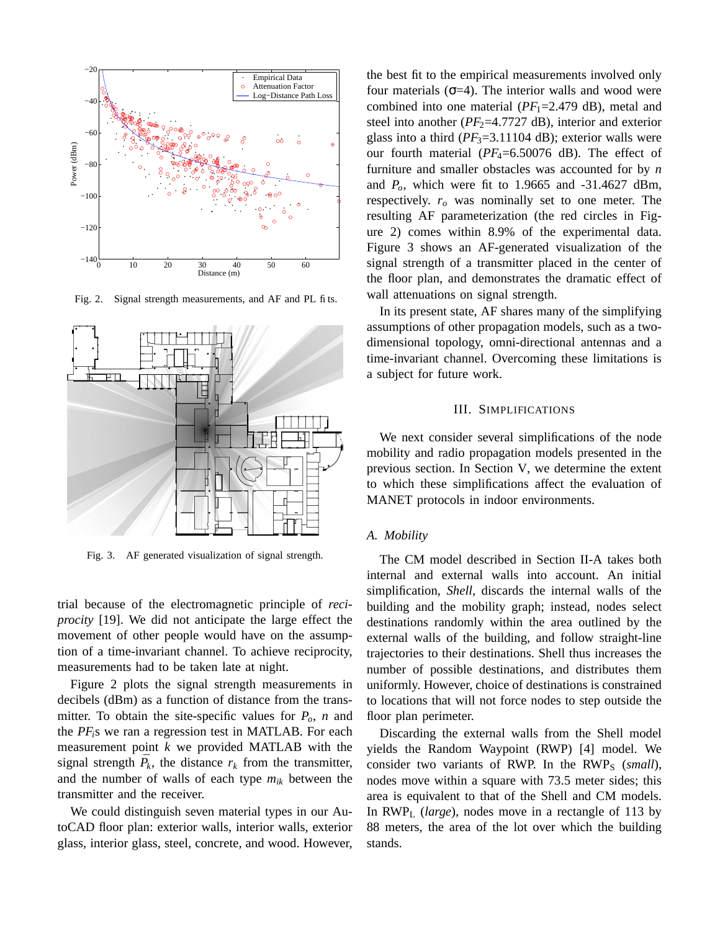

Fig. 2. Signal strength measurements, and AF and PL fits.



Fig. 3. AF generated visualization of signal strength.

trial because of the electromagnetic principle of *reciprocity* [19]. We did not anticipate the large effect the movement of other people would have on the assumption of a time-invariant channel. To achieve reciprocity, measurements had to be taken late at night.

Figure 2 plots the signal strength measurements in decibels (dBm) as a function of distance from the transmitter. To obtain the site-specific values for *Po*, *n* and the *PFi*s we ran a regression test in MATLAB. For each measurement point *k* we provided MATLAB with the signal strength  $\bar{P}_k$ , the distance  $r_k$  from the transmitter, and the number of walls of each type *mik* between the transmitter and the receiver.

We could distinguish seven material types in our AutoCAD floor plan: exterior walls, interior walls, exterior glass, interior glass, steel, concrete, and wood. However, the best fit to the empirical measurements involved only four materials  $(σ=4)$ . The interior walls and wood were combined into one material  $(PF_1 = 2.479 \text{ dB})$ , metal and steel into another ( $PF_2$ =4.7727 dB), interior and exterior glass into a third  $(PF_3=3.11104 \text{ dB})$ ; exterior walls were our fourth material (*PF*<sub>4</sub>=6.50076 dB). The effect of furniture and smaller obstacles was accounted for by *n* and *Po*, which were fit to 1.9665 and -31.4627 dBm, respectively. *r<sup>o</sup>* was nominally set to one meter. The resulting AF parameterization (the red circles in Figure 2) comes within 8.9% of the experimental data. Figure 3 shows an AF-generated visualization of the signal strength of a transmitter placed in the center of the floor plan, and demonstrates the dramatic effect of wall attenuations on signal strength.

In its present state, AF shares many of the simplifying assumptions of other propagation models, such as a twodimensional topology, omni-directional antennas and a time-invariant channel. Overcoming these limitations is a subject for future work.

#### III. SIMPLIFICATIONS

We next consider several simplifications of the node mobility and radio propagation models presented in the previous section. In Section V, we determine the extent to which these simplifications affect the evaluation of MANET protocols in indoor environments.

## *A. Mobility*

The CM model described in Section II-A takes both internal and external walls into account. An initial simplification, *Shell*, discards the internal walls of the building and the mobility graph; instead, nodes select destinations randomly within the area outlined by the external walls of the building, and follow straight-line trajectories to their destinations. Shell thus increases the number of possible destinations, and distributes them uniformly. However, choice of destinations is constrained to locations that will not force nodes to step outside the floor plan perimeter.

Discarding the external walls from the Shell model yields the Random Waypoint (RWP) [4] model. We consider two variants of RWP. In the RWP<sub>S</sub> (*small*), nodes move within a square with 73.5 meter sides; this area is equivalent to that of the Shell and CM models. In RWP<sup>L</sup> (*large*), nodes move in a rectangle of 113 by 88 meters, the area of the lot over which the building stands.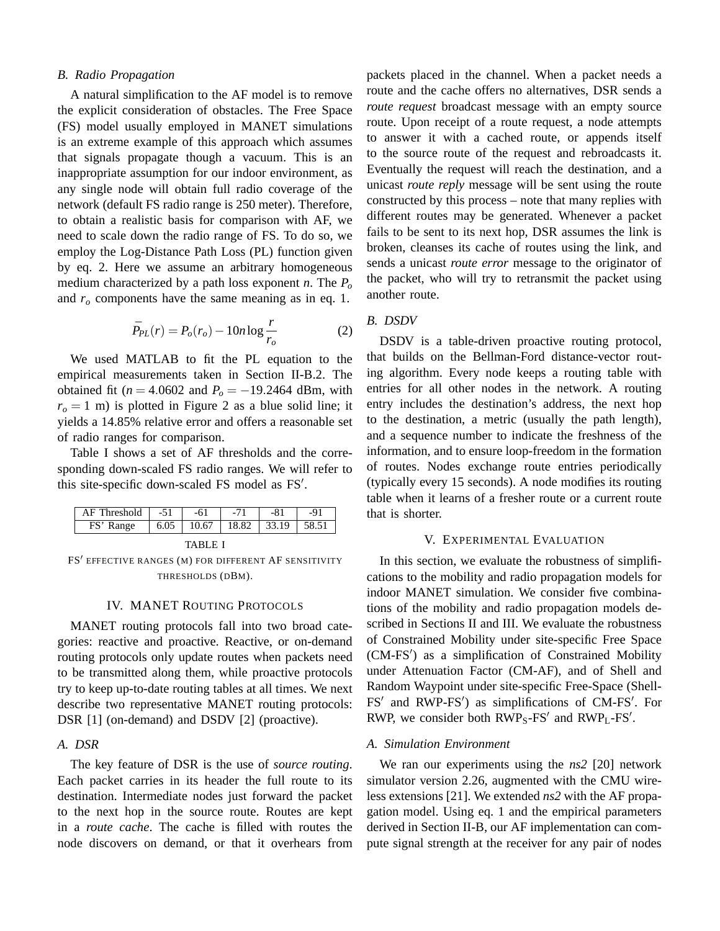## *B. Radio Propagation*

A natural simplification to the AF model is to remove the explicit consideration of obstacles. The Free Space (FS) model usually employed in MANET simulations is an extreme example of this approach which assumes that signals propagate though a vacuum. This is an inappropriate assumption for our indoor environment, as any single node will obtain full radio coverage of the network (default FS radio range is 250 meter). Therefore, to obtain a realistic basis for comparison with AF, we need to scale down the radio range of FS. To do so, we employ the Log-Distance Path Loss (PL) function given by eq. 2. Here we assume an arbitrary homogeneous medium characterized by a path loss exponent *n*. The *P<sup>o</sup>* and *r<sup>o</sup>* components have the same meaning as in eq. 1.

$$
\bar{P}_{PL}(r) = P_o(r_o) - 10n \log \frac{r}{r_o}
$$
 (2)

We used MATLAB to fit the PL equation to the empirical measurements taken in Section II-B.2. The obtained fit ( $n = 4.0602$  and  $P<sub>o</sub> = -19.2464$  dBm, with  $r<sub>o</sub> = 1$  m) is plotted in Figure 2 as a blue solid line; it yields a 14.85% relative error and offers a reasonable set of radio ranges for comparison.

Table I shows a set of AF thresholds and the corresponding down-scaled FS radio ranges. We will refer to this site-specific down-scaled FS model as FS'.

| reshold L<br>ΑF | $-51$ | -61 |                         |       |
|-----------------|-------|-----|-------------------------|-------|
| møe             | 6.05  |     | $10.67$   18.82   33.19 | 58.51 |

TABLE I FS' EFFECTIVE RANGES (M) FOR DIFFERENT AF SENSITIVITY THRESHOLDS (DBM).

## IV. MANET ROUTING PROTOCOLS

MANET routing protocols fall into two broad categories: reactive and proactive. Reactive, or on-demand routing protocols only update routes when packets need to be transmitted along them, while proactive protocols try to keep up-to-date routing tables at all times. We next describe two representative MANET routing protocols: DSR [1] (on-demand) and DSDV [2] (proactive).

## *A. DSR*

The key feature of DSR is the use of *source routing*. Each packet carries in its header the full route to its destination. Intermediate nodes just forward the packet to the next hop in the source route. Routes are kept in a *route cache*. The cache is filled with routes the node discovers on demand, or that it overhears from packets placed in the channel. When a packet needs a route and the cache offers no alternatives, DSR sends a *route request* broadcast message with an empty source route. Upon receipt of a route request, a node attempts to answer it with a cached route, or appends itself to the source route of the request and rebroadcasts it. Eventually the request will reach the destination, and a unicast *route reply* message will be sent using the route constructed by this process – note that many replies with different routes may be generated. Whenever a packet fails to be sent to its next hop, DSR assumes the link is broken, cleanses its cache of routes using the link, and sends a unicast *route error* message to the originator of the packet, who will try to retransmit the packet using another route.

# *B. DSDV*

DSDV is a table-driven proactive routing protocol, that builds on the Bellman-Ford distance-vector routing algorithm. Every node keeps a routing table with entries for all other nodes in the network. A routing entry includes the destination's address, the next hop to the destination, a metric (usually the path length), and a sequence number to indicate the freshness of the information, and to ensure loop-freedom in the formation of routes. Nodes exchange route entries periodically (typically every 15 seconds). A node modifies its routing table when it learns of a fresher route or a current route that is shorter.

## V. EXPERIMENTAL EVALUATION

In this section, we evaluate the robustness of simplifications to the mobility and radio propagation models for indoor MANET simulation. We consider five combinations of the mobility and radio propagation models described in Sections II and III. We evaluate the robustness of Constrained Mobility under site-specific Free Space (CM-FS<sup>'</sup>) as a simplification of Constrained Mobility under Attenuation Factor (CM-AF), and of Shell and Random Waypoint under site-specific Free-Space (Shell-FS' and RWP-FS') as simplifications of CM-FS'. For RWP, we consider both  $RWP_S-FS'$  and  $RWP_L-FS'$ .

## *A. Simulation Environment*

We ran our experiments using the *ns2* [20] network simulator version 2.26, augmented with the CMU wireless extensions [21]. We extended *ns2* with the AF propagation model. Using eq. 1 and the empirical parameters derived in Section II-B, our AF implementation can compute signal strength at the receiver for any pair of nodes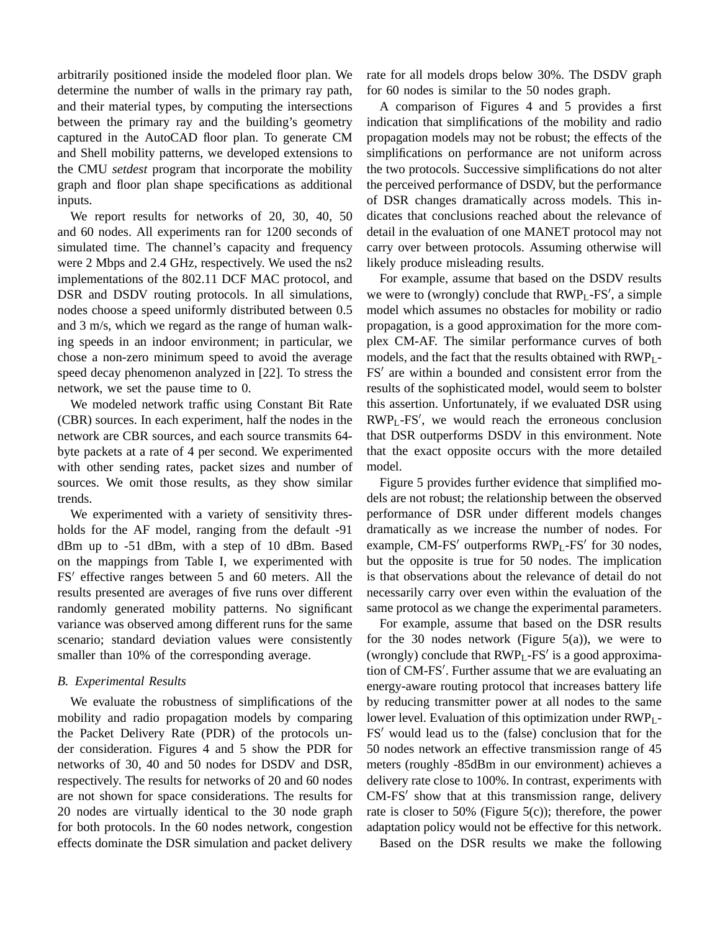arbitrarily positioned inside the modeled floor plan. We determine the number of walls in the primary ray path, and their material types, by computing the intersections between the primary ray and the building's geometry captured in the AutoCAD floor plan. To generate CM and Shell mobility patterns, we developed extensions to the CMU *setdest* program that incorporate the mobility graph and floor plan shape specifications as additional inputs.

We report results for networks of 20, 30, 40, 50 and 60 nodes. All experiments ran for 1200 seconds of simulated time. The channel's capacity and frequency were 2 Mbps and 2.4 GHz, respectively. We used the ns2 implementations of the 802.11 DCF MAC protocol, and DSR and DSDV routing protocols. In all simulations, nodes choose a speed uniformly distributed between 0.5 and 3 m/s, which we regard as the range of human walking speeds in an indoor environment; in particular, we chose a non-zero minimum speed to avoid the average speed decay phenomenon analyzed in [22]. To stress the network, we set the pause time to 0.

We modeled network traffic using Constant Bit Rate (CBR) sources. In each experiment, half the nodes in the network are CBR sources, and each source transmits 64 byte packets at a rate of 4 per second. We experimented with other sending rates, packet sizes and number of sources. We omit those results, as they show similar trends.

We experimented with a variety of sensitivity thresholds for the AF model, ranging from the default -91 dBm up to -51 dBm, with a step of 10 dBm. Based on the mappings from Table I, we experimented with FS' effective ranges between 5 and 60 meters. All the results presented are averages of five runs over different randomly generated mobility patterns. No significant variance was observed among different runs for the same scenario; standard deviation values were consistently smaller than 10% of the corresponding average.

## *B. Experimental Results*

We evaluate the robustness of simplifications of the mobility and radio propagation models by comparing the Packet Delivery Rate (PDR) of the protocols under consideration. Figures 4 and 5 show the PDR for networks of 30, 40 and 50 nodes for DSDV and DSR, respectively. The results for networks of 20 and 60 nodes are not shown for space considerations. The results for 20 nodes are virtually identical to the 30 node graph for both protocols. In the 60 nodes network, congestion effects dominate the DSR simulation and packet delivery rate for all models drops below 30%. The DSDV graph for 60 nodes is similar to the 50 nodes graph.

A comparison of Figures 4 and 5 provides a first indication that simplifications of the mobility and radio propagation models may not be robust; the effects of the simplifications on performance are not uniform across the two protocols. Successive simplifications do not alter the perceived performance of DSDV, but the performance of DSR changes dramatically across models. This indicates that conclusions reached about the relevance of detail in the evaluation of one MANET protocol may not carry over between protocols. Assuming otherwise will likely produce misleading results.

For example, assume that based on the DSDV results we were to (wrongly) conclude that  $RWP_L-FS'$ , a simple model which assumes no obstacles for mobility or radio propagation, is a good approximation for the more complex CM-AF. The similar performance curves of both models, and the fact that the results obtained with RWPL-FS' are within a bounded and consistent error from the results of the sophisticated model, would seem to bolster this assertion. Unfortunately, if we evaluated DSR using  $RWP<sub>L</sub> - FS'$ , we would reach the erroneous conclusion that DSR outperforms DSDV in this environment. Note that the exact opposite occurs with the more detailed model.

Figure 5 provides further evidence that simplified models are not robust; the relationship between the observed performance of DSR under different models changes dramatically as we increase the number of nodes. For example, CM-FS' outperforms RWP<sub>L</sub>-FS' for 30 nodes, but the opposite is true for 50 nodes. The implication is that observations about the relevance of detail do not necessarily carry over even within the evaluation of the same protocol as we change the experimental parameters.

For example, assume that based on the DSR results for the 30 nodes network (Figure  $5(a)$ ), we were to (wrongly) conclude that  $RWP_L$ -FS' is a good approximation of CM-FS'. Further assume that we are evaluating an energy-aware routing protocol that increases battery life by reducing transmitter power at all nodes to the same lower level. Evaluation of this optimization under RWPL- $FS'$  would lead us to the (false) conclusion that for the 50 nodes network an effective transmission range of 45 meters (roughly -85dBm in our environment) achieves a delivery rate close to 100%. In contrast, experiments with CM-FS' show that at this transmission range, delivery rate is closer to 50% (Figure 5 $(c)$ ); therefore, the power adaptation policy would not be effective for this network.

Based on the DSR results we make the following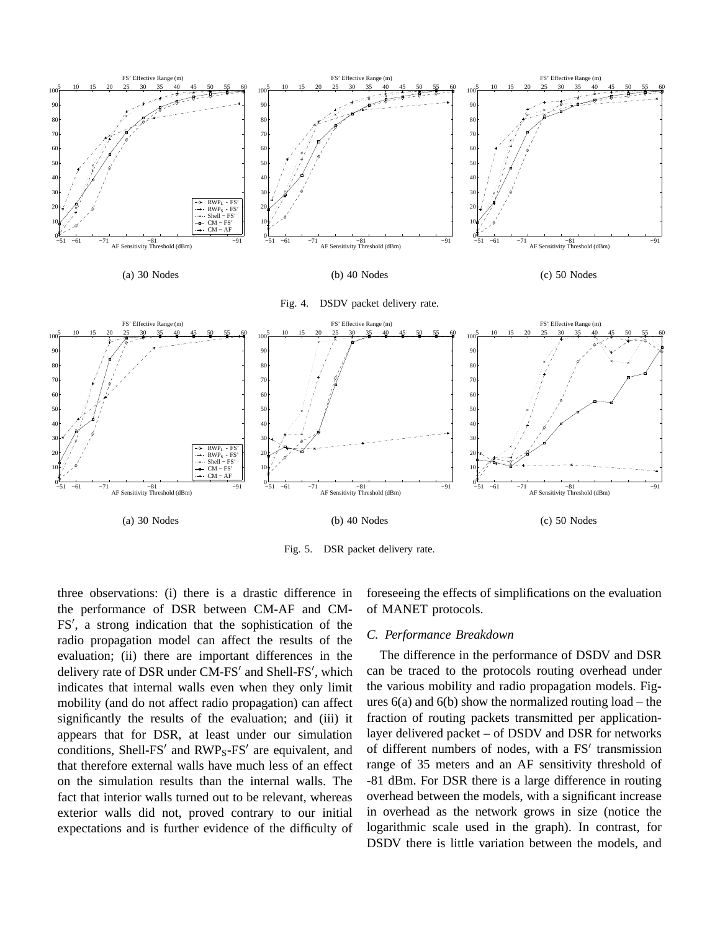

Fig. 5. DSR packet delivery rate.

three observations: (i) there is a drastic difference in the performance of DSR between CM-AF and CM-FS', a strong indication that the sophistication of the radio propagation model can affect the results of the evaluation; (ii) there are important differences in the delivery rate of DSR under CM-FS' and Shell-FS', which indicates that internal walls even when they only limit mobility (and do not affect radio propagation) can affect significantly the results of the evaluation; and (iii) it appears that for DSR, at least under our simulation conditions, Shell-FS' and  $RWP_S-FS'$  are equivalent, and that therefore external walls have much less of an effect on the simulation results than the internal walls. The fact that interior walls turned out to be relevant, whereas exterior walls did not, proved contrary to our initial expectations and is further evidence of the difficulty of foreseeing the effects of simplifications on the evaluation of MANET protocols.

#### *C. Performance Breakdown*

The difference in the performance of DSDV and DSR can be traced to the protocols routing overhead under the various mobility and radio propagation models. Figures  $6(a)$  and  $6(b)$  show the normalized routing load – the fraction of routing packets transmitted per applicationlayer delivered packet – of DSDV and DSR for networks of different numbers of nodes, with a  $FS'$  transmission range of 35 meters and an AF sensitivity threshold of -81 dBm. For DSR there is a large difference in routing overhead between the models, with a significant increase in overhead as the network grows in size (notice the logarithmic scale used in the graph). In contrast, for DSDV there is little variation between the models, and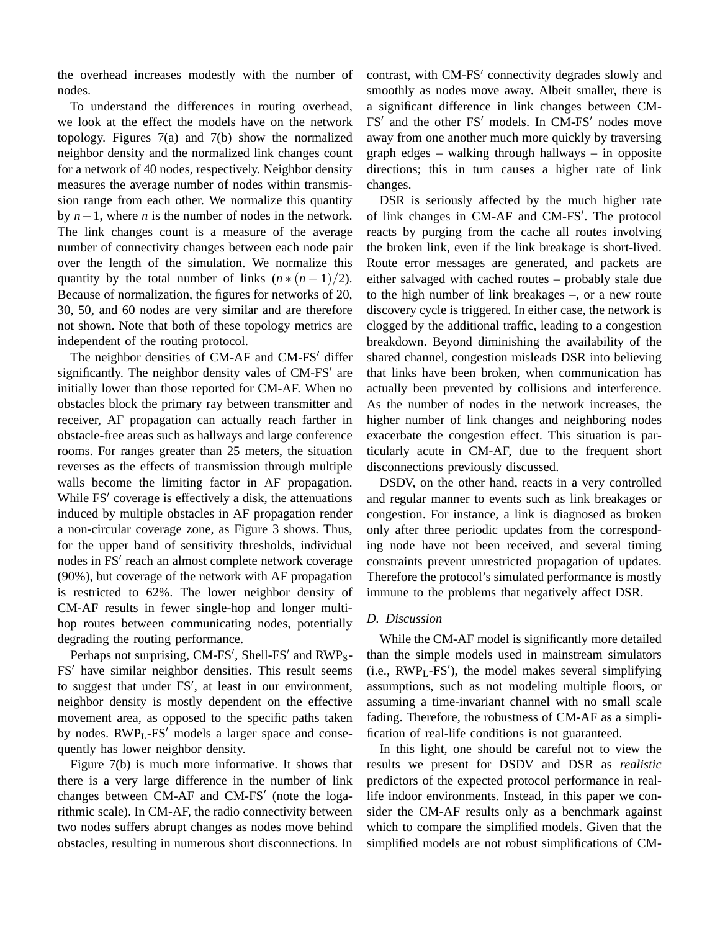the overhead increases modestly with the number of nodes.

To understand the differences in routing overhead, we look at the effect the models have on the network topology. Figures 7(a) and 7(b) show the normalized neighbor density and the normalized link changes count for a network of 40 nodes, respectively. Neighbor density measures the average number of nodes within transmission range from each other. We normalize this quantity by *n*−1, where *n* is the number of nodes in the network. The link changes count is a measure of the average number of connectivity changes between each node pair over the length of the simulation. We normalize this quantity by the total number of links  $(n * (n - 1)/2)$ . Because of normalization, the figures for networks of 20, 30, 50, and 60 nodes are very similar and are therefore not shown. Note that both of these topology metrics are independent of the routing protocol.

The neighbor densities of  $CM-AF$  and  $CM-FS'$  differ significantly. The neighbor density vales of CM-FS' are initially lower than those reported for CM-AF. When no obstacles block the primary ray between transmitter and receiver, AF propagation can actually reach farther in obstacle-free areas such as hallways and large conference rooms. For ranges greater than 25 meters, the situation reverses as the effects of transmission through multiple walls become the limiting factor in AF propagation. While FS' coverage is effectively a disk, the attenuations induced by multiple obstacles in AF propagation render a non-circular coverage zone, as Figure 3 shows. Thus, for the upper band of sensitivity thresholds, individual nodes in FS' reach an almost complete network coverage (90%), but coverage of the network with AF propagation is restricted to 62%. The lower neighbor density of CM-AF results in fewer single-hop and longer multihop routes between communicating nodes, potentially degrading the routing performance.

Perhaps not surprising, CM-FS', Shell-FS' and RWP<sub>S</sub>- $FS'$  have similar neighbor densities. This result seems to suggest that under FS', at least in our environment, neighbor density is mostly dependent on the effective movement area, as opposed to the specific paths taken by nodes.  $RWP<sub>L</sub>-FS'$  models a larger space and consequently has lower neighbor density.

Figure 7(b) is much more informative. It shows that there is a very large difference in the number of link changes between CM-AF and CM-FS' (note the logarithmic scale). In CM-AF, the radio connectivity between two nodes suffers abrupt changes as nodes move behind obstacles, resulting in numerous short disconnections. In

contrast, with CM-FS' connectivity degrades slowly and smoothly as nodes move away. Albeit smaller, there is a significant difference in link changes between CM-FS<sup>'</sup> and the other FS' models. In CM-FS' nodes move away from one another much more quickly by traversing graph edges – walking through hallways – in opposite directions; this in turn causes a higher rate of link changes.

DSR is seriously affected by the much higher rate of link changes in CM-AF and CM-FS'. The protocol reacts by purging from the cache all routes involving the broken link, even if the link breakage is short-lived. Route error messages are generated, and packets are either salvaged with cached routes – probably stale due to the high number of link breakages –, or a new route discovery cycle is triggered. In either case, the network is clogged by the additional traffic, leading to a congestion breakdown. Beyond diminishing the availability of the shared channel, congestion misleads DSR into believing that links have been broken, when communication has actually been prevented by collisions and interference. As the number of nodes in the network increases, the higher number of link changes and neighboring nodes exacerbate the congestion effect. This situation is particularly acute in CM-AF, due to the frequent short disconnections previously discussed.

DSDV, on the other hand, reacts in a very controlled and regular manner to events such as link breakages or congestion. For instance, a link is diagnosed as broken only after three periodic updates from the corresponding node have not been received, and several timing constraints prevent unrestricted propagation of updates. Therefore the protocol's simulated performance is mostly immune to the problems that negatively affect DSR.

# *D. Discussion*

While the CM-AF model is significantly more detailed than the simple models used in mainstream simulators  $(i.e., RWP<sub>L</sub>-FS'),$  the model makes several simplifying assumptions, such as not modeling multiple floors, or assuming a time-invariant channel with no small scale fading. Therefore, the robustness of CM-AF as a simplification of real-life conditions is not guaranteed.

In this light, one should be careful not to view the results we present for DSDV and DSR as *realistic* predictors of the expected protocol performance in reallife indoor environments. Instead, in this paper we consider the CM-AF results only as a benchmark against which to compare the simplified models. Given that the simplified models are not robust simplifications of CM-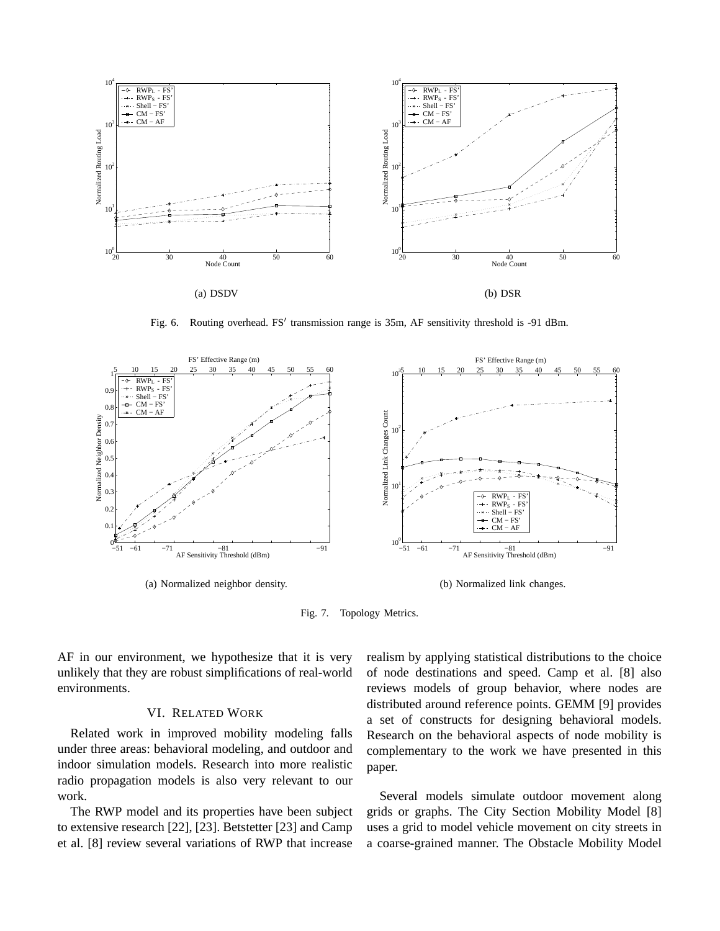

Fig. 6. Routing overhead. FS' transmission range is 35m, AF sensitivity threshold is -91 dBm.



Fig. 7. Topology Metrics.

AF in our environment, we hypothesize that it is very unlikely that they are robust simplifications of real-world environments.

# VI. RELATED WORK

Related work in improved mobility modeling falls under three areas: behavioral modeling, and outdoor and indoor simulation models. Research into more realistic radio propagation models is also very relevant to our work.

The RWP model and its properties have been subject to extensive research [22], [23]. Betstetter [23] and Camp et al. [8] review several variations of RWP that increase realism by applying statistical distributions to the choice of node destinations and speed. Camp et al. [8] also reviews models of group behavior, where nodes are distributed around reference points. GEMM [9] provides a set of constructs for designing behavioral models. Research on the behavioral aspects of node mobility is complementary to the work we have presented in this paper.

Several models simulate outdoor movement along grids or graphs. The City Section Mobility Model [8] uses a grid to model vehicle movement on city streets in a coarse-grained manner. The Obstacle Mobility Model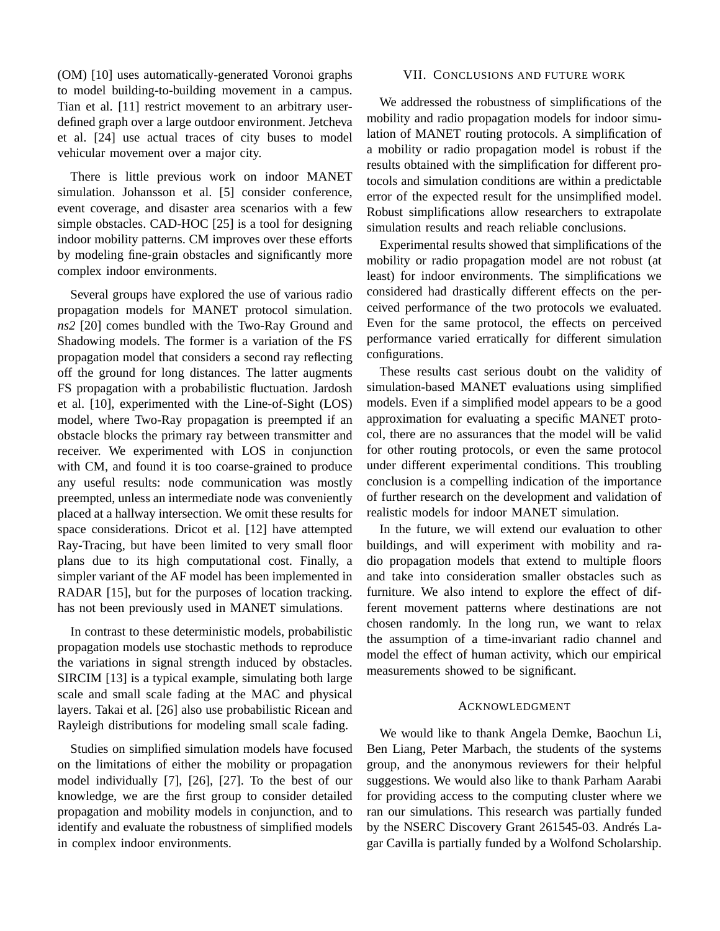(OM) [10] uses automatically-generated Voronoi graphs to model building-to-building movement in a campus. Tian et al. [11] restrict movement to an arbitrary userdefined graph over a large outdoor environment. Jetcheva et al. [24] use actual traces of city buses to model vehicular movement over a major city.

There is little previous work on indoor MANET simulation. Johansson et al. [5] consider conference, event coverage, and disaster area scenarios with a few simple obstacles. CAD-HOC [25] is a tool for designing indoor mobility patterns. CM improves over these efforts by modeling fine-grain obstacles and significantly more complex indoor environments.

Several groups have explored the use of various radio propagation models for MANET protocol simulation. ns2 [20] comes bundled with the Two-Ray Ground and Shadowing models. The former is a variation of the FS propagation model that considers a second ray reflecting off the ground for long distances. The latter augments FS propagation with a probabilistic fluctuation. Jardosh et al. [10], experimented with the Line-of-Sight (LOS) model, where Two-Ray propagation is preempted if an obstacle blocks the primary ray between transmitter and receiver. We experimented with LOS in conjunction with CM, and found it is too coarse-grained to produce any useful results: node communication was mostly preempted, unless an intermediate node was conveniently placed at a hallway intersection. We omit these results for space considerations. Dricot et al. [12] have attempted Ray-Tracing, but have been limited to very small floor plans due to its high computational cost. Finally, a simpler variant of the AF model has been implemented in RADAR [15], but for the purposes of location tracking. has not been previously used in MANET simulations.

In contrast to these deterministic models, probabilistic propagation models use stochastic methods to reproduce the variations in signal strength induced by obstacles. SIRCIM [13] is a typical example, simulating both large scale and small scale fading at the MAC and physical layers. Takai et al. [26] also use probabilistic Ricean and Rayleigh distributions for modeling small scale fading.

Studies on simplified simulation models have focused on the limitations of either the mobility or propagation model individually [7], [26], [27]. To the best of our knowledge, we are the first group to consider detailed propagation and mobility models in conjunction, and to identify and evaluate the robustness of simplified models in complex indoor environments.

## VII. CONCLUSIONS AND FUTURE WORK

We addressed the robustness of simplifications of the mobility and radio propagation models for indoor simulation of MANET routing protocols. A simplification of a mobility or radio propagation model is robust if the results obtained with the simplification for different protocols and simulation conditions are within a predictable error of the expected result for the unsimplified model. Robust simplifications allow researchers to extrapolate simulation results and reach reliable conclusions.

Experimental results showed that simplifications of the mobility or radio propagation model are not robust (at least) for indoor environments. The simplifications we considered had drastically different effects on the perceived performance of the two protocols we evaluated. Even for the same protocol, the effects on perceived performance varied erratically for different simulation configurations.

These results cast serious doubt on the validity of simulation-based MANET evaluations using simplified models. Even if a simplified model appears to be a good approximation for evaluating a specific MANET protocol, there are no assurances that the model will be valid for other routing protocols, or even the same protocol under different experimental conditions. This troubling conclusion is a compelling indication of the importance of further research on the development and validation of realistic models for indoor MANET simulation.

In the future, we will extend our evaluation to other buildings, and will experiment with mobility and radio propagation models that extend to multiple floors and take into consideration smaller obstacles such as furniture. We also intend to explore the effect of different movement patterns where destinations are not chosen randomly. In the long run, we want to relax the assumption of a time-invariant radio channel and model the effect of human activity, which our empirical measurements showed to be significant.

## **ACKNOWLEDGMENT**

We would like to thank Angela Demke, Baochun Li, Ben Liang, Peter Marbach, the students of the systems group, and the anonymous reviewers for their helpful suggestions. We would also like to thank Parham Aarabi for providing access to the computing cluster where we ran our simulations. This research was partially funded by the NSERC Discovery Grant 261545-03. Andrés Lagar Cavilla is partially funded by a Wolfond Scholarship.